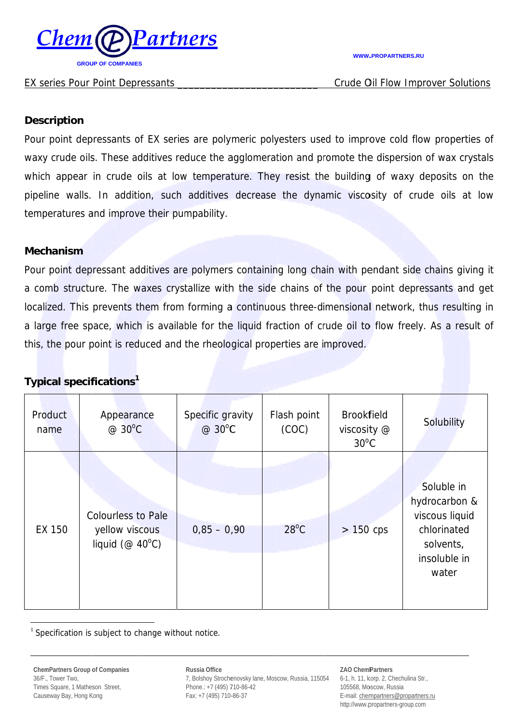

#### EX series Pour Point Depressants

#### **WWW.PROPARTNERS.RU**

**Crude Oil Flow Improver Solutions** 

### **Description**

Pour point depressants of EX series are polymeric polyesters used to improve cold flow properties of waxy crude oils. These additives reduce the agglomeration and promote the dispersion of wax crystals which appear in crude oils at low temperature. They resist the building of waxy deposits on the pipeline walls. In addition, such additives decrease the dynamic viscosity of crude oils at low temperatures and improve their pumpability.

### **Mechanism**

Pour point depressant additives are polymers containing long chain with pendant side chains giving it a comb structure. The waxes crystallize with the side chains of the pour point depressants and get localized. This prevents them from forming a continuous three-dimensional network, thus resulting in a large free space, which is available for the liquid fraction of crude oil to flow freely. As a result of this, the pour point is reduced and the rheological properties are improved.

# **Typical specifications<sup>1</sup>**

| Product<br>name | Appearance<br>@ 30°C                                                         | Specific gravity<br>@ 30°C | Flash point<br>(COC) | <b>Brookfield</b><br>viscosity @<br>$30^{\circ}$ C | Solubility                                                                                         |
|-----------------|------------------------------------------------------------------------------|----------------------------|----------------------|----------------------------------------------------|----------------------------------------------------------------------------------------------------|
| EX 150          | <b>Colourless to Pale</b><br>yellow viscous<br>liquid ( $@$ 40 $^{\circ}$ C) | $0,85 - 0,90$              | $28^{\circ}$ C       | $> 150$ cps                                        | Soluble in<br>hydrocarbon &<br>viscous liquid<br>chlorinated<br>solvents,<br>insoluble in<br>water |

 $1$  Specification is subject to change without notice.

Russia Office 7, Bolshoy Strochenovsky lane, Moscow, Russia, 115054 Phone.: +7 (495) 710-86-42 Fax: +7 (495) 710-86-37

**ZAO ChemPartners** 

6-1, h. 11, korp. 2, Chechulina Str., 105568, Moscow, Russia E-mail: chempartners@propartners.ru http://www.propartners-group.com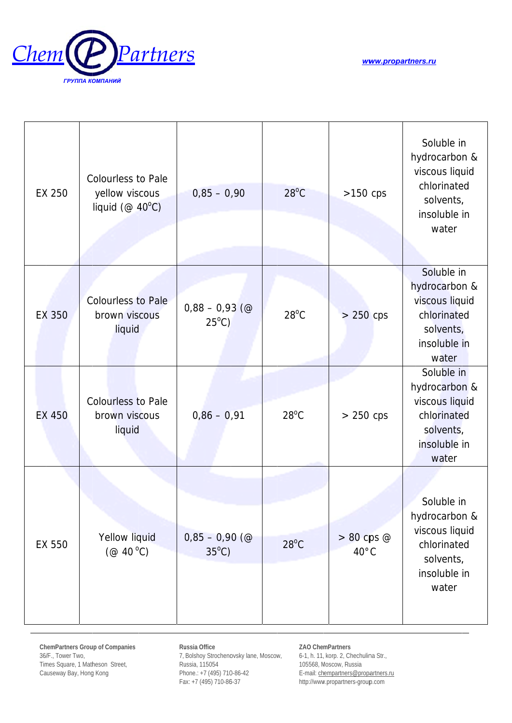



| EX 250        | <b>Colourless to Pale</b><br>yellow viscous<br>liquid ( $@$ 40 $°C$ ) | $0,85 - 0,90$                       | $28^{\circ}$ C | $>150$ cps                       | Soluble in<br>hydrocarbon &<br>viscous liquid<br>chlorinated<br>solvents,<br>insoluble in<br>water |
|---------------|-----------------------------------------------------------------------|-------------------------------------|----------------|----------------------------------|----------------------------------------------------------------------------------------------------|
| EX 350        | <b>Colourless to Pale</b><br>brown viscous<br>liquid                  | $0,88 - 0,93$ (@<br>$25^{\circ}$ C) | $28^{\circ}$ C | $> 250$ cps                      | Soluble in<br>hydrocarbon &<br>viscous liquid<br>chlorinated<br>solvents,<br>insoluble in<br>water |
| <b>EX 450</b> | <b>Colourless to Pale</b><br>brown viscous<br>liquid                  | $0,86 - 0,91$                       | $28^{\circ}$ C | $> 250$ cps                      | Soluble in<br>hydrocarbon &<br>viscous liquid<br>chlorinated<br>solvents,<br>insoluble in<br>water |
| EX 550        | Yellow liquid<br>(@ 40 °C)                                            | $0,85 - 0,90$ (@<br>$35^{\circ}$ C) | $28^{\circ}$ C | $> 80$ cps $@$<br>$40^{\circ}$ C | Soluble in<br>hydrocarbon &<br>viscous liquid<br>chlorinated<br>solvents,<br>insoluble in<br>water |

ChemPartners Group of Companies 36/F., Tower Two, Times Square, 1 Matheson Street, Causeway Bay, Hong Kong

Russia Office 7, Bolshoy Strochenovsky lane, Moscow, Russia, 115054 Phone.: +7 (495) 710-86-42 Fax: +7 (495) 710-86-37

ZAO ChemPartners

6-1, h. 11, korp. 2, Chechulina Str., 105568, Moscow, Russia E-mail: chempartners@propiartners.ru http://www.propartners-group.com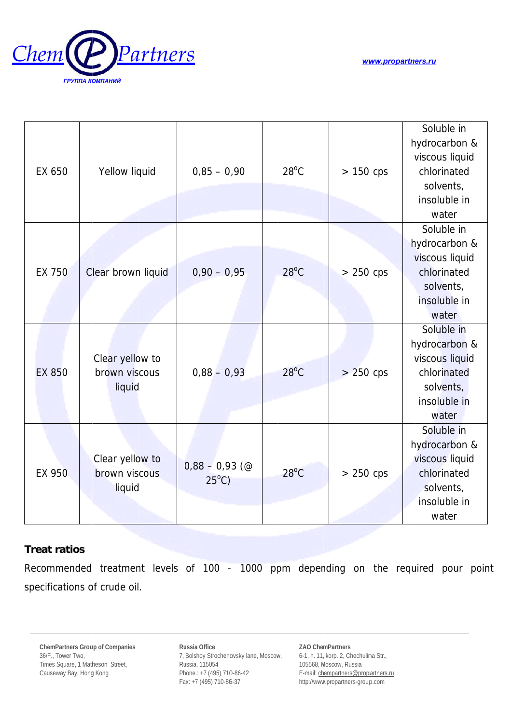

www.propartners.ru

| EX 650        | Yellow liquid                              | $0,85 - 0,90$                       | $28^{\circ}$ C | $> 150$ cps | Soluble in<br>hydrocarbon &<br>viscous liquid<br>chlorinated<br>solvents,<br>insoluble in<br>water |
|---------------|--------------------------------------------|-------------------------------------|----------------|-------------|----------------------------------------------------------------------------------------------------|
| <b>EX 750</b> | Clear brown liquid                         | $0,90 - 0,95$                       | $28^{\circ}$ C | $> 250$ cps | Soluble in<br>hydrocarbon &<br>viscous liquid<br>chlorinated<br>solvents,<br>insoluble in<br>water |
| <b>EX 850</b> | Clear yellow to<br>brown viscous<br>liquid | $0,88 - 0,93$                       | $28^{\circ}$ C | $> 250$ cps | Soluble in<br>hydrocarbon &<br>viscous liquid<br>chlorinated<br>solvents,<br>insoluble in<br>water |
| EX 950        | Clear yellow to<br>brown viscous<br>liquid | $0,88 - 0,93$ (@<br>$25^{\circ}$ C) | $28^{\circ}$ C | $> 250$ cps | Soluble in<br>hydrocarbon &<br>viscous liquid<br>chlorinated<br>solvents,<br>insoluble in<br>water |

## **Treat ratios**

Recommended treatment levels of 100 - 1000 ppm depending on the required pour point specifications of crude oil.

Russia Office 7, Bolshoy Strochenovsky lane, Moscow, Russia, 115054 Phone.: +7 (495) 710-86-42 Fax: +7 (495) 710-86-37

ZAO ChemPartners 6-1, h. 11, korp. 2, Chechulina Str., 105568, Moscow, Russia E-mail: chempartners@propiartners.ru http://www.propartners-group.com